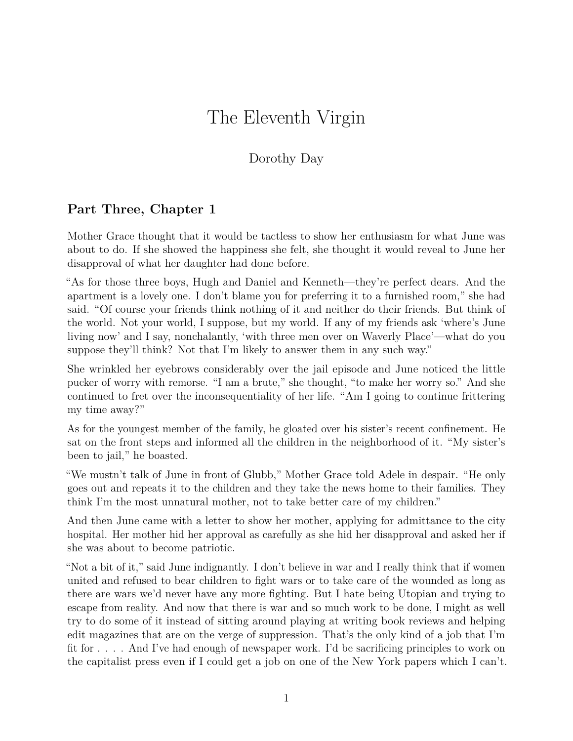## The Eleventh Virgin

## Dorothy Day

## **Part Three, Chapter 1**

Mother Grace thought that it would be tactless to show her enthusiasm for what June was about to do. If she showed the happiness she felt, she thought it would reveal to June her disapproval of what her daughter had done before.

"As for those three boys, Hugh and Daniel and Kenneth—they're perfect dears. And the apartment is a lovely one. I don't blame you for preferring it to a furnished room," she had said. "Of course your friends think nothing of it and neither do their friends. But think of the world. Not your world, I suppose, but my world. If any of my friends ask 'where's June living now' and I say, nonchalantly, 'with three men over on Waverly Place'—what do you suppose they'll think? Not that I'm likely to answer them in any such way."

She wrinkled her eyebrows considerably over the jail episode and June noticed the little pucker of worry with remorse. "I am a brute," she thought, "to make her worry so." And she continued to fret over the inconsequentiality of her life. "Am I going to continue frittering my time away?"

As for the youngest member of the family, he gloated over his sister's recent confinement. He sat on the front steps and informed all the children in the neighborhood of it. "My sister's been to jail," he boasted.

"We mustn't talk of June in front of Glubb," Mother Grace told Adele in despair. "He only goes out and repeats it to the children and they take the news home to their families. They think I'm the most unnatural mother, not to take better care of my children."

And then June came with a letter to show her mother, applying for admittance to the city hospital. Her mother hid her approval as carefully as she hid her disapproval and asked her if she was about to become patriotic.

"Not a bit of it," said June indignantly. I don't believe in war and I really think that if women united and refused to bear children to fight wars or to take care of the wounded as long as there are wars we'd never have any more fighting. But I hate being Utopian and trying to escape from reality. And now that there is war and so much work to be done, I might as well try to do some of it instead of sitting around playing at writing book reviews and helping edit magazines that are on the verge of suppression. That's the only kind of a job that I'm fit for . . . . And I've had enough of newspaper work. I'd be sacrificing principles to work on the capitalist press even if I could get a job on one of the New York papers which I can't.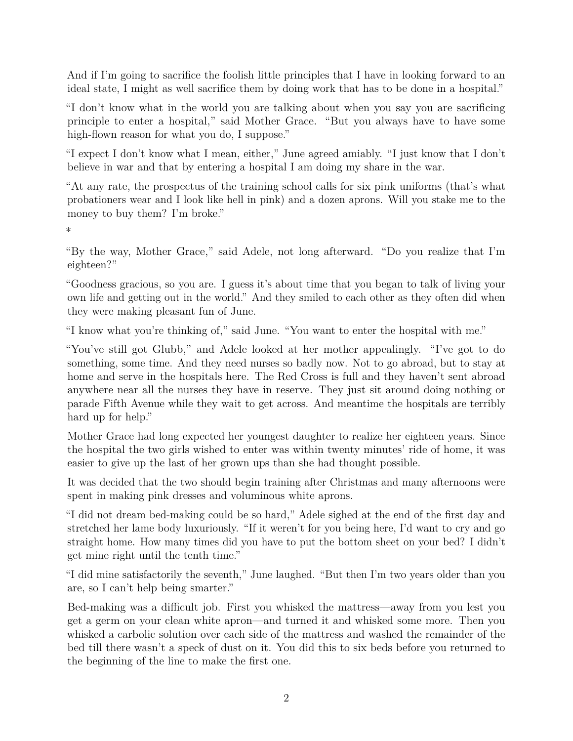And if I'm going to sacrifice the foolish little principles that I have in looking forward to an ideal state, I might as well sacrifice them by doing work that has to be done in a hospital."

"I don't know what in the world you are talking about when you say you are sacrificing principle to enter a hospital," said Mother Grace. "But you always have to have some high-flown reason for what you do, I suppose."

"I expect I don't know what I mean, either," June agreed amiably. "I just know that I don't believe in war and that by entering a hospital I am doing my share in the war.

"At any rate, the prospectus of the training school calls for six pink uniforms (that's what probationers wear and I look like hell in pink) and a dozen aprons. Will you stake me to the money to buy them? I'm broke."

\*

"By the way, Mother Grace," said Adele, not long afterward. "Do you realize that I'm eighteen?"

"Goodness gracious, so you are. I guess it's about time that you began to talk of living your own life and getting out in the world." And they smiled to each other as they often did when they were making pleasant fun of June.

"I know what you're thinking of," said June. "You want to enter the hospital with me."

"You've still got Glubb," and Adele looked at her mother appealingly. "I've got to do something, some time. And they need nurses so badly now. Not to go abroad, but to stay at home and serve in the hospitals here. The Red Cross is full and they haven't sent abroad anywhere near all the nurses they have in reserve. They just sit around doing nothing or parade Fifth Avenue while they wait to get across. And meantime the hospitals are terribly hard up for help."

Mother Grace had long expected her youngest daughter to realize her eighteen years. Since the hospital the two girls wished to enter was within twenty minutes' ride of home, it was easier to give up the last of her grown ups than she had thought possible.

It was decided that the two should begin training after Christmas and many afternoons were spent in making pink dresses and voluminous white aprons.

"I did not dream bed-making could be so hard," Adele sighed at the end of the first day and stretched her lame body luxuriously. "If it weren't for you being here, I'd want to cry and go straight home. How many times did you have to put the bottom sheet on your bed? I didn't get mine right until the tenth time."

"I did mine satisfactorily the seventh," June laughed. "But then I'm two years older than you are, so I can't help being smarter."

Bed-making was a difficult job. First you whisked the mattress—away from you lest you get a germ on your clean white apron—and turned it and whisked some more. Then you whisked a carbolic solution over each side of the mattress and washed the remainder of the bed till there wasn't a speck of dust on it. You did this to six beds before you returned to the beginning of the line to make the first one.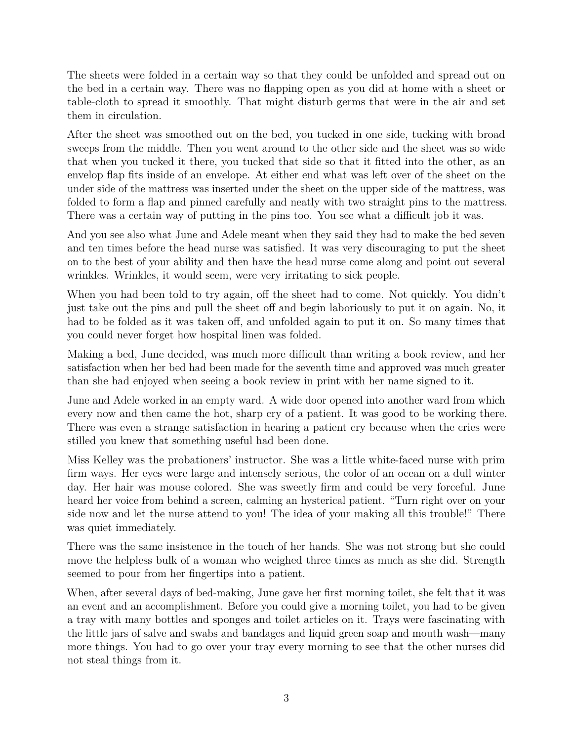The sheets were folded in a certain way so that they could be unfolded and spread out on the bed in a certain way. There was no flapping open as you did at home with a sheet or table-cloth to spread it smoothly. That might disturb germs that were in the air and set them in circulation.

After the sheet was smoothed out on the bed, you tucked in one side, tucking with broad sweeps from the middle. Then you went around to the other side and the sheet was so wide that when you tucked it there, you tucked that side so that it fitted into the other, as an envelop flap fits inside of an envelope. At either end what was left over of the sheet on the under side of the mattress was inserted under the sheet on the upper side of the mattress, was folded to form a flap and pinned carefully and neatly with two straight pins to the mattress. There was a certain way of putting in the pins too. You see what a difficult job it was.

And you see also what June and Adele meant when they said they had to make the bed seven and ten times before the head nurse was satisfied. It was very discouraging to put the sheet on to the best of your ability and then have the head nurse come along and point out several wrinkles. Wrinkles, it would seem, were very irritating to sick people.

When you had been told to try again, off the sheet had to come. Not quickly. You didn't just take out the pins and pull the sheet off and begin laboriously to put it on again. No, it had to be folded as it was taken off, and unfolded again to put it on. So many times that you could never forget how hospital linen was folded.

Making a bed, June decided, was much more difficult than writing a book review, and her satisfaction when her bed had been made for the seventh time and approved was much greater than she had enjoyed when seeing a book review in print with her name signed to it.

June and Adele worked in an empty ward. A wide door opened into another ward from which every now and then came the hot, sharp cry of a patient. It was good to be working there. There was even a strange satisfaction in hearing a patient cry because when the cries were stilled you knew that something useful had been done.

Miss Kelley was the probationers' instructor. She was a little white-faced nurse with prim firm ways. Her eyes were large and intensely serious, the color of an ocean on a dull winter day. Her hair was mouse colored. She was sweetly firm and could be very forceful. June heard her voice from behind a screen, calming an hysterical patient. "Turn right over on your side now and let the nurse attend to you! The idea of your making all this trouble!" There was quiet immediately.

There was the same insistence in the touch of her hands. She was not strong but she could move the helpless bulk of a woman who weighed three times as much as she did. Strength seemed to pour from her fingertips into a patient.

When, after several days of bed-making, June gave her first morning toilet, she felt that it was an event and an accomplishment. Before you could give a morning toilet, you had to be given a tray with many bottles and sponges and toilet articles on it. Trays were fascinating with the little jars of salve and swabs and bandages and liquid green soap and mouth wash—many more things. You had to go over your tray every morning to see that the other nurses did not steal things from it.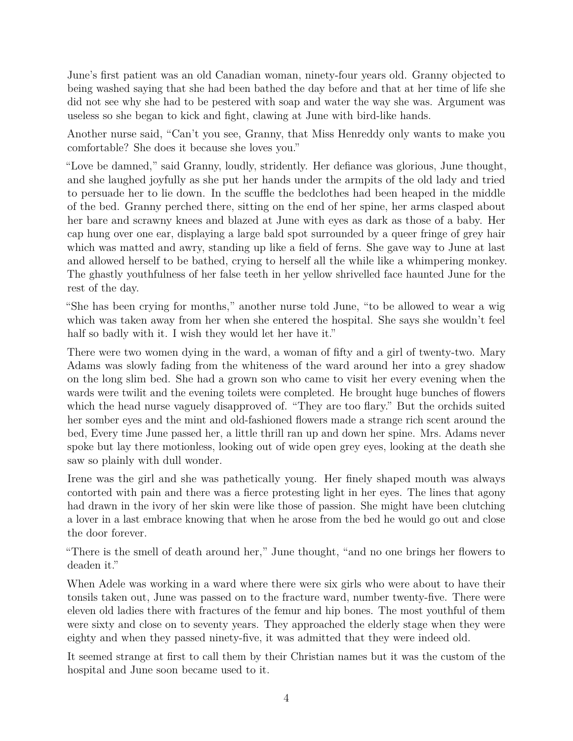June's first patient was an old Canadian woman, ninety-four years old. Granny objected to being washed saying that she had been bathed the day before and that at her time of life she did not see why she had to be pestered with soap and water the way she was. Argument was useless so she began to kick and fight, clawing at June with bird-like hands.

Another nurse said, "Can't you see, Granny, that Miss Henreddy only wants to make you comfortable? She does it because she loves you."

"Love be damned," said Granny, loudly, stridently. Her defiance was glorious, June thought, and she laughed joyfully as she put her hands under the armpits of the old lady and tried to persuade her to lie down. In the scuffle the bedclothes had been heaped in the middle of the bed. Granny perched there, sitting on the end of her spine, her arms clasped about her bare and scrawny knees and blazed at June with eyes as dark as those of a baby. Her cap hung over one ear, displaying a large bald spot surrounded by a queer fringe of grey hair which was matted and awry, standing up like a field of ferns. She gave way to June at last and allowed herself to be bathed, crying to herself all the while like a whimpering monkey. The ghastly youthfulness of her false teeth in her yellow shrivelled face haunted June for the rest of the day.

"She has been crying for months," another nurse told June, "to be allowed to wear a wig which was taken away from her when she entered the hospital. She says she wouldn't feel half so badly with it. I wish they would let her have it."

There were two women dying in the ward, a woman of fifty and a girl of twenty-two. Mary Adams was slowly fading from the whiteness of the ward around her into a grey shadow on the long slim bed. She had a grown son who came to visit her every evening when the wards were twilit and the evening toilets were completed. He brought huge bunches of flowers which the head nurse vaguely disapproved of. "They are too flary." But the orchids suited her somber eyes and the mint and old-fashioned flowers made a strange rich scent around the bed, Every time June passed her, a little thrill ran up and down her spine. Mrs. Adams never spoke but lay there motionless, looking out of wide open grey eyes, looking at the death she saw so plainly with dull wonder.

Irene was the girl and she was pathetically young. Her finely shaped mouth was always contorted with pain and there was a fierce protesting light in her eyes. The lines that agony had drawn in the ivory of her skin were like those of passion. She might have been clutching a lover in a last embrace knowing that when he arose from the bed he would go out and close the door forever.

"There is the smell of death around her," June thought, "and no one brings her flowers to deaden it."

When Adele was working in a ward where there were six girls who were about to have their tonsils taken out, June was passed on to the fracture ward, number twenty-five. There were eleven old ladies there with fractures of the femur and hip bones. The most youthful of them were sixty and close on to seventy years. They approached the elderly stage when they were eighty and when they passed ninety-five, it was admitted that they were indeed old.

It seemed strange at first to call them by their Christian names but it was the custom of the hospital and June soon became used to it.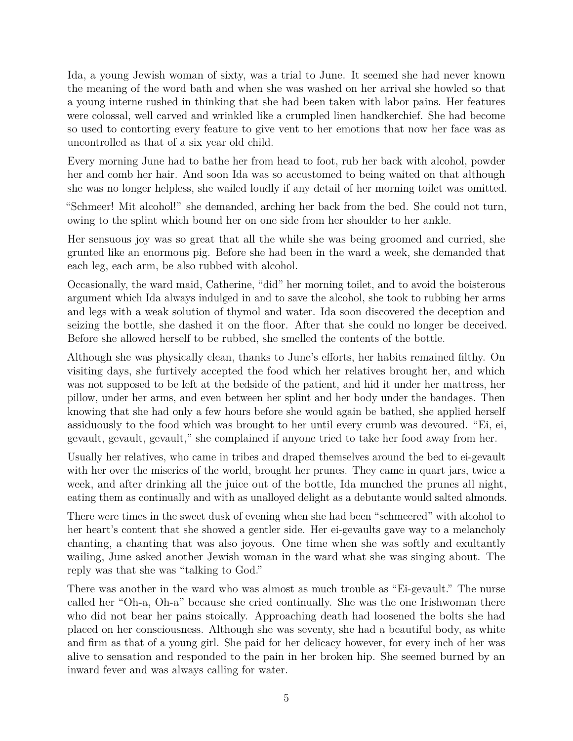Ida, a young Jewish woman of sixty, was a trial to June. It seemed she had never known the meaning of the word bath and when she was washed on her arrival she howled so that a young interne rushed in thinking that she had been taken with labor pains. Her features were colossal, well carved and wrinkled like a crumpled linen handkerchief. She had become so used to contorting every feature to give vent to her emotions that now her face was as uncontrolled as that of a six year old child.

Every morning June had to bathe her from head to foot, rub her back with alcohol, powder her and comb her hair. And soon Ida was so accustomed to being waited on that although she was no longer helpless, she wailed loudly if any detail of her morning toilet was omitted.

"Schmeer! Mit alcohol!" she demanded, arching her back from the bed. She could not turn, owing to the splint which bound her on one side from her shoulder to her ankle.

Her sensuous joy was so great that all the while she was being groomed and curried, she grunted like an enormous pig. Before she had been in the ward a week, she demanded that each leg, each arm, be also rubbed with alcohol.

Occasionally, the ward maid, Catherine, "did" her morning toilet, and to avoid the boisterous argument which Ida always indulged in and to save the alcohol, she took to rubbing her arms and legs with a weak solution of thymol and water. Ida soon discovered the deception and seizing the bottle, she dashed it on the floor. After that she could no longer be deceived. Before she allowed herself to be rubbed, she smelled the contents of the bottle.

Although she was physically clean, thanks to June's efforts, her habits remained filthy. On visiting days, she furtively accepted the food which her relatives brought her, and which was not supposed to be left at the bedside of the patient, and hid it under her mattress, her pillow, under her arms, and even between her splint and her body under the bandages. Then knowing that she had only a few hours before she would again be bathed, she applied herself assiduously to the food which was brought to her until every crumb was devoured. "Ei, ei, gevault, gevault, gevault," she complained if anyone tried to take her food away from her.

Usually her relatives, who came in tribes and draped themselves around the bed to ei-gevault with her over the miseries of the world, brought her prunes. They came in quart jars, twice a week, and after drinking all the juice out of the bottle, Ida munched the prunes all night, eating them as continually and with as unalloyed delight as a debutante would salted almonds.

There were times in the sweet dusk of evening when she had been "schmeered" with alcohol to her heart's content that she showed a gentler side. Her ei-gevaults gave way to a melancholy chanting, a chanting that was also joyous. One time when she was softly and exultantly wailing, June asked another Jewish woman in the ward what she was singing about. The reply was that she was "talking to God."

There was another in the ward who was almost as much trouble as "Ei-gevault." The nurse called her "Oh-a, Oh-a" because she cried continually. She was the one Irishwoman there who did not bear her pains stoically. Approaching death had loosened the bolts she had placed on her consciousness. Although she was seventy, she had a beautiful body, as white and firm as that of a young girl. She paid for her delicacy however, for every inch of her was alive to sensation and responded to the pain in her broken hip. She seemed burned by an inward fever and was always calling for water.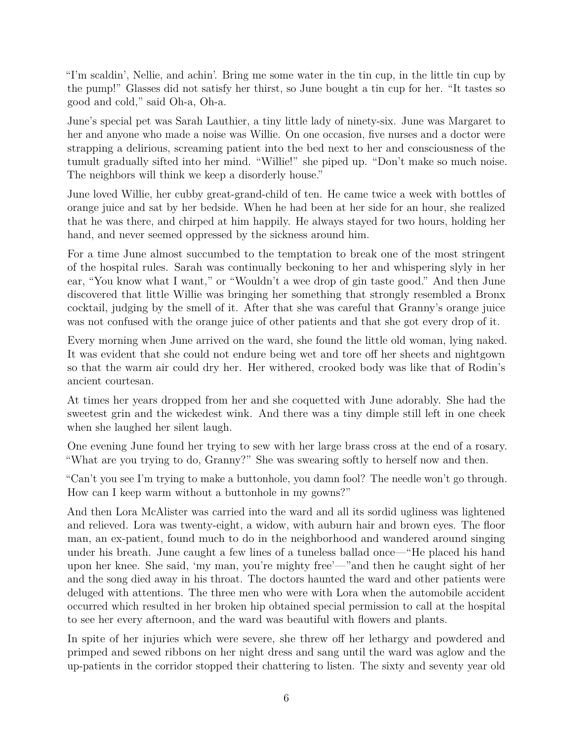"I'm scaldin', Nellie, and achin'. Bring me some water in the tin cup, in the little tin cup by the pump!" Glasses did not satisfy her thirst, so June bought a tin cup for her. "It tastes so good and cold," said Oh-a, Oh-a.

June's special pet was Sarah Lauthier, a tiny little lady of ninety-six. June was Margaret to her and anyone who made a noise was Willie. On one occasion, five nurses and a doctor were strapping a delirious, screaming patient into the bed next to her and consciousness of the tumult gradually sifted into her mind. "Willie!" she piped up. "Don't make so much noise. The neighbors will think we keep a disorderly house."

June loved Willie, her cubby great-grand-child of ten. He came twice a week with bottles of orange juice and sat by her bedside. When he had been at her side for an hour, she realized that he was there, and chirped at him happily. He always stayed for two hours, holding her hand, and never seemed oppressed by the sickness around him.

For a time June almost succumbed to the temptation to break one of the most stringent of the hospital rules. Sarah was continually beckoning to her and whispering slyly in her ear, "You know what I want," or "Wouldn't a wee drop of gin taste good." And then June discovered that little Willie was bringing her something that strongly resembled a Bronx cocktail, judging by the smell of it. After that she was careful that Granny's orange juice was not confused with the orange juice of other patients and that she got every drop of it.

Every morning when June arrived on the ward, she found the little old woman, lying naked. It was evident that she could not endure being wet and tore off her sheets and nightgown so that the warm air could dry her. Her withered, crooked body was like that of Rodin's ancient courtesan.

At times her years dropped from her and she coquetted with June adorably. She had the sweetest grin and the wickedest wink. And there was a tiny dimple still left in one cheek when she laughed her silent laugh.

One evening June found her trying to sew with her large brass cross at the end of a rosary. "What are you trying to do, Granny?" She was swearing softly to herself now and then.

"Can't you see I'm trying to make a buttonhole, you damn fool? The needle won't go through. How can I keep warm without a buttonhole in my gowns?"

And then Lora McAlister was carried into the ward and all its sordid ugliness was lightened and relieved. Lora was twenty-eight, a widow, with auburn hair and brown eyes. The floor man, an ex-patient, found much to do in the neighborhood and wandered around singing under his breath. June caught a few lines of a tuneless ballad once—"He placed his hand upon her knee. She said, 'my man, you're mighty free'—"and then he caught sight of her and the song died away in his throat. The doctors haunted the ward and other patients were deluged with attentions. The three men who were with Lora when the automobile accident occurred which resulted in her broken hip obtained special permission to call at the hospital to see her every afternoon, and the ward was beautiful with flowers and plants.

In spite of her injuries which were severe, she threw off her lethargy and powdered and primped and sewed ribbons on her night dress and sang until the ward was aglow and the up-patients in the corridor stopped their chattering to listen. The sixty and seventy year old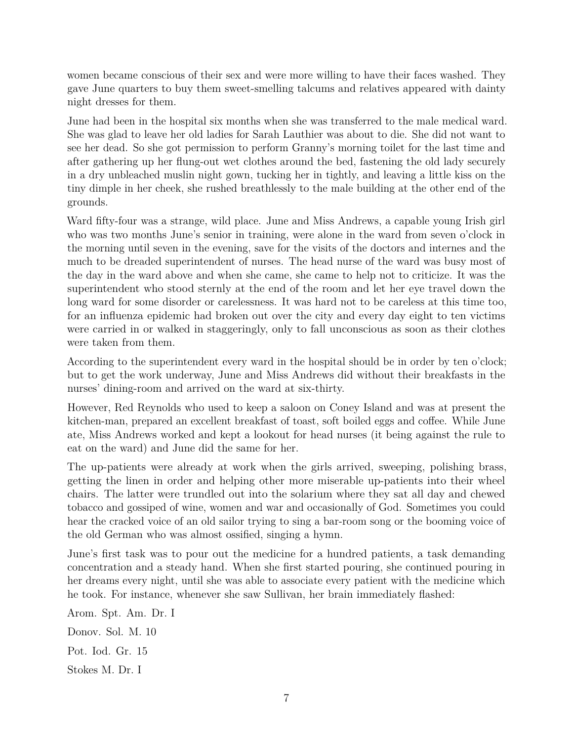women became conscious of their sex and were more willing to have their faces washed. They gave June quarters to buy them sweet-smelling talcums and relatives appeared with dainty night dresses for them.

June had been in the hospital six months when she was transferred to the male medical ward. She was glad to leave her old ladies for Sarah Lauthier was about to die. She did not want to see her dead. So she got permission to perform Granny's morning toilet for the last time and after gathering up her flung-out wet clothes around the bed, fastening the old lady securely in a dry unbleached muslin night gown, tucking her in tightly, and leaving a little kiss on the tiny dimple in her cheek, she rushed breathlessly to the male building at the other end of the grounds.

Ward fifty-four was a strange, wild place. June and Miss Andrews, a capable young Irish girl who was two months June's senior in training, were alone in the ward from seven o'clock in the morning until seven in the evening, save for the visits of the doctors and internes and the much to be dreaded superintendent of nurses. The head nurse of the ward was busy most of the day in the ward above and when she came, she came to help not to criticize. It was the superintendent who stood sternly at the end of the room and let her eye travel down the long ward for some disorder or carelessness. It was hard not to be careless at this time too, for an influenza epidemic had broken out over the city and every day eight to ten victims were carried in or walked in staggeringly, only to fall unconscious as soon as their clothes were taken from them.

According to the superintendent every ward in the hospital should be in order by ten o'clock; but to get the work underway, June and Miss Andrews did without their breakfasts in the nurses' dining-room and arrived on the ward at six-thirty.

However, Red Reynolds who used to keep a saloon on Coney Island and was at present the kitchen-man, prepared an excellent breakfast of toast, soft boiled eggs and coffee. While June ate, Miss Andrews worked and kept a lookout for head nurses (it being against the rule to eat on the ward) and June did the same for her.

The up-patients were already at work when the girls arrived, sweeping, polishing brass, getting the linen in order and helping other more miserable up-patients into their wheel chairs. The latter were trundled out into the solarium where they sat all day and chewed tobacco and gossiped of wine, women and war and occasionally of God. Sometimes you could hear the cracked voice of an old sailor trying to sing a bar-room song or the booming voice of the old German who was almost ossified, singing a hymn.

June's first task was to pour out the medicine for a hundred patients, a task demanding concentration and a steady hand. When she first started pouring, she continued pouring in her dreams every night, until she was able to associate every patient with the medicine which he took. For instance, whenever she saw Sullivan, her brain immediately flashed:

Arom. Spt. Am. Dr. I

Donov. Sol. M. 10

Pot. Iod. Gr. 15

Stokes M. Dr. I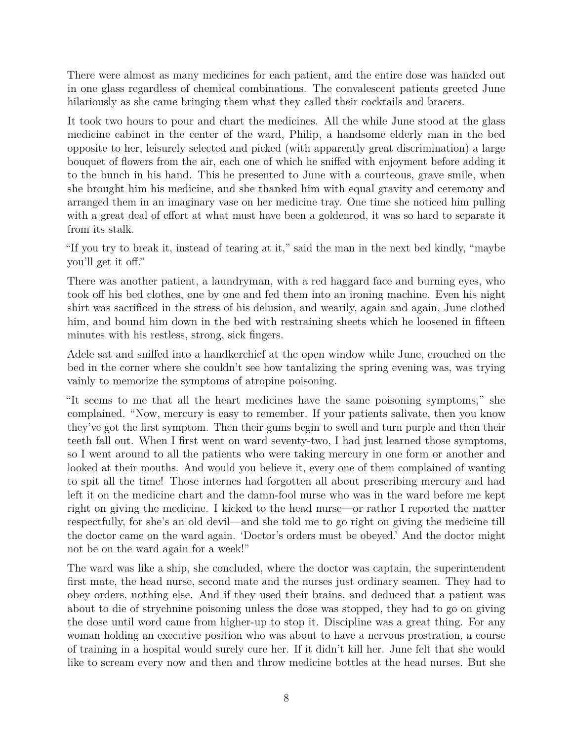There were almost as many medicines for each patient, and the entire dose was handed out in one glass regardless of chemical combinations. The convalescent patients greeted June hilariously as she came bringing them what they called their cocktails and bracers.

It took two hours to pour and chart the medicines. All the while June stood at the glass medicine cabinet in the center of the ward, Philip, a handsome elderly man in the bed opposite to her, leisurely selected and picked (with apparently great discrimination) a large bouquet of flowers from the air, each one of which he sniffed with enjoyment before adding it to the bunch in his hand. This he presented to June with a courteous, grave smile, when she brought him his medicine, and she thanked him with equal gravity and ceremony and arranged them in an imaginary vase on her medicine tray. One time she noticed him pulling with a great deal of effort at what must have been a goldenrod, it was so hard to separate it from its stalk.

"If you try to break it, instead of tearing at it," said the man in the next bed kindly, "maybe you'll get it off."

There was another patient, a laundryman, with a red haggard face and burning eyes, who took off his bed clothes, one by one and fed them into an ironing machine. Even his night shirt was sacrificed in the stress of his delusion, and wearily, again and again, June clothed him, and bound him down in the bed with restraining sheets which he loosened in fifteen minutes with his restless, strong, sick fingers.

Adele sat and sniffed into a handkerchief at the open window while June, crouched on the bed in the corner where she couldn't see how tantalizing the spring evening was, was trying vainly to memorize the symptoms of atropine poisoning.

"It seems to me that all the heart medicines have the same poisoning symptoms," she complained. "Now, mercury is easy to remember. If your patients salivate, then you know they've got the first symptom. Then their gums begin to swell and turn purple and then their teeth fall out. When I first went on ward seventy-two, I had just learned those symptoms, so I went around to all the patients who were taking mercury in one form or another and looked at their mouths. And would you believe it, every one of them complained of wanting to spit all the time! Those internes had forgotten all about prescribing mercury and had left it on the medicine chart and the damn-fool nurse who was in the ward before me kept right on giving the medicine. I kicked to the head nurse—or rather I reported the matter respectfully, for she's an old devil—and she told me to go right on giving the medicine till the doctor came on the ward again. 'Doctor's orders must be obeyed.' And the doctor might not be on the ward again for a week!"

The ward was like a ship, she concluded, where the doctor was captain, the superintendent first mate, the head nurse, second mate and the nurses just ordinary seamen. They had to obey orders, nothing else. And if they used their brains, and deduced that a patient was about to die of strychnine poisoning unless the dose was stopped, they had to go on giving the dose until word came from higher-up to stop it. Discipline was a great thing. For any woman holding an executive position who was about to have a nervous prostration, a course of training in a hospital would surely cure her. If it didn't kill her. June felt that she would like to scream every now and then and throw medicine bottles at the head nurses. But she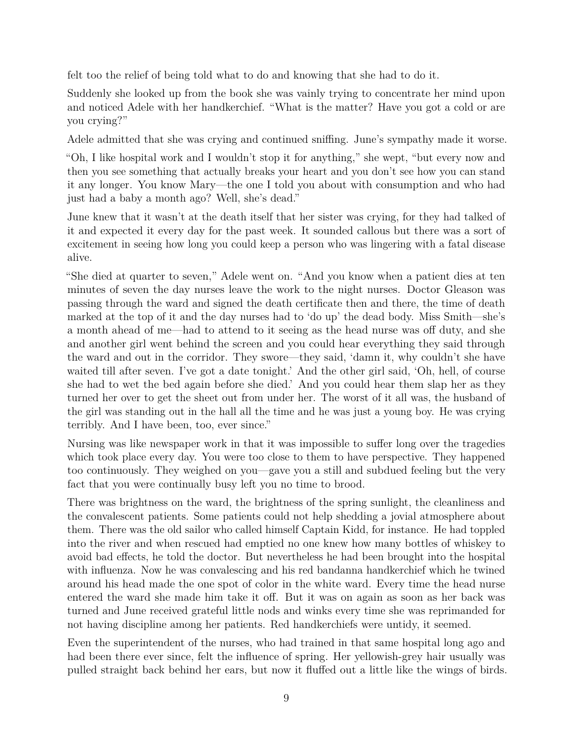felt too the relief of being told what to do and knowing that she had to do it.

Suddenly she looked up from the book she was vainly trying to concentrate her mind upon and noticed Adele with her handkerchief. "What is the matter? Have you got a cold or are you crying?"

Adele admitted that she was crying and continued sniffing. June's sympathy made it worse.

"Oh, I like hospital work and I wouldn't stop it for anything," she wept, "but every now and then you see something that actually breaks your heart and you don't see how you can stand it any longer. You know Mary—the one I told you about with consumption and who had just had a baby a month ago? Well, she's dead."

June knew that it wasn't at the death itself that her sister was crying, for they had talked of it and expected it every day for the past week. It sounded callous but there was a sort of excitement in seeing how long you could keep a person who was lingering with a fatal disease alive.

"She died at quarter to seven," Adele went on. "And you know when a patient dies at ten minutes of seven the day nurses leave the work to the night nurses. Doctor Gleason was passing through the ward and signed the death certificate then and there, the time of death marked at the top of it and the day nurses had to 'do up' the dead body. Miss Smith—she's a month ahead of me—had to attend to it seeing as the head nurse was off duty, and she and another girl went behind the screen and you could hear everything they said through the ward and out in the corridor. They swore—they said, 'damn it, why couldn't she have waited till after seven. I've got a date tonight.' And the other girl said, 'Oh, hell, of course she had to wet the bed again before she died.' And you could hear them slap her as they turned her over to get the sheet out from under her. The worst of it all was, the husband of the girl was standing out in the hall all the time and he was just a young boy. He was crying terribly. And I have been, too, ever since."

Nursing was like newspaper work in that it was impossible to suffer long over the tragedies which took place every day. You were too close to them to have perspective. They happened too continuously. They weighed on you—gave you a still and subdued feeling but the very fact that you were continually busy left you no time to brood.

There was brightness on the ward, the brightness of the spring sunlight, the cleanliness and the convalescent patients. Some patients could not help shedding a jovial atmosphere about them. There was the old sailor who called himself Captain Kidd, for instance. He had toppled into the river and when rescued had emptied no one knew how many bottles of whiskey to avoid bad effects, he told the doctor. But nevertheless he had been brought into the hospital with influenza. Now he was convalescing and his red bandanna handkerchief which he twined around his head made the one spot of color in the white ward. Every time the head nurse entered the ward she made him take it off. But it was on again as soon as her back was turned and June received grateful little nods and winks every time she was reprimanded for not having discipline among her patients. Red handkerchiefs were untidy, it seemed.

Even the superintendent of the nurses, who had trained in that same hospital long ago and had been there ever since, felt the influence of spring. Her yellowish-grey hair usually was pulled straight back behind her ears, but now it fluffed out a little like the wings of birds.